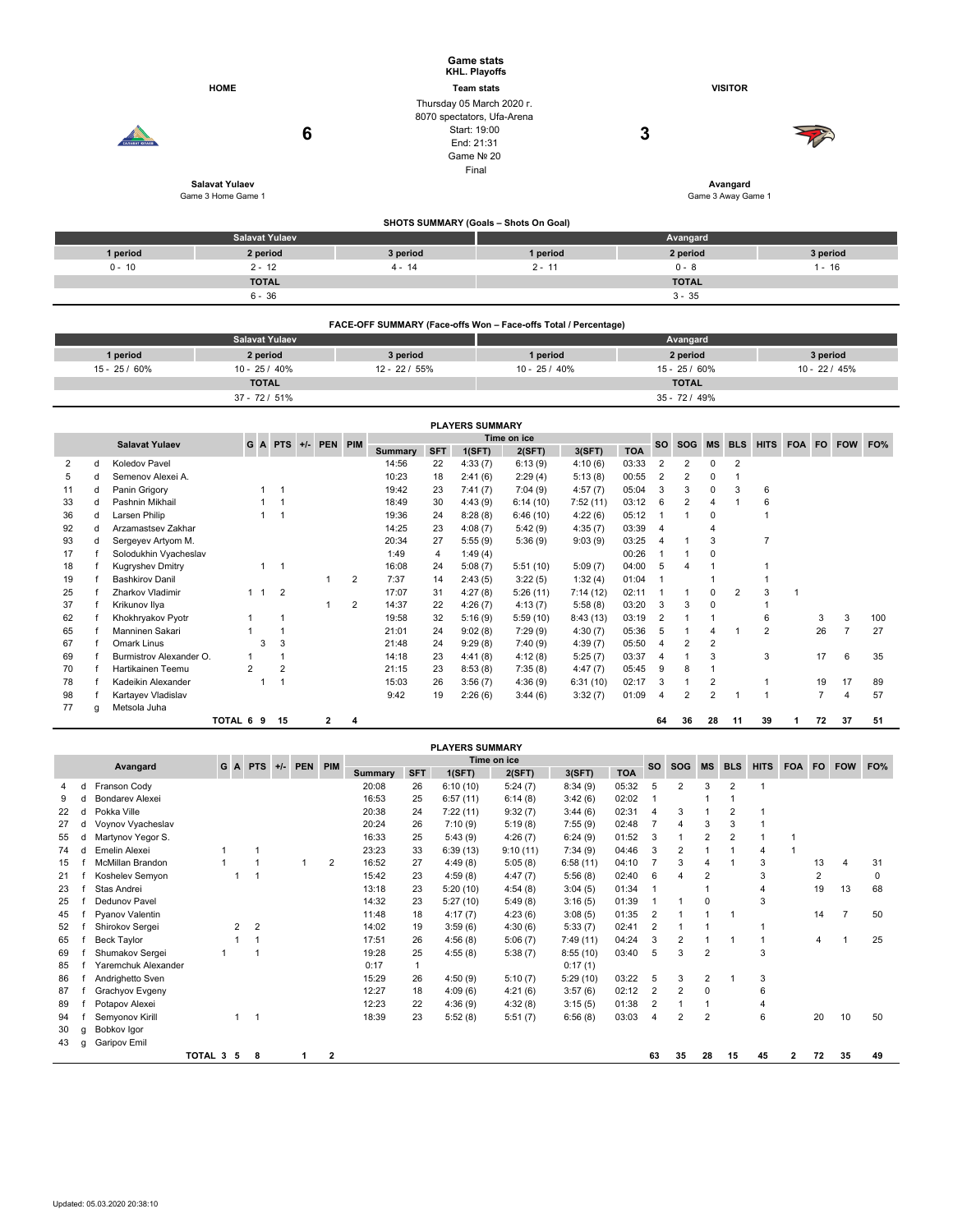|                        |                                                                                                                                                                                                                                                                                                                                                                               |                      | <b>HOME</b> |             |             |   |                                  |          |                |            | <b>Game stats</b><br>KHL. Playoffs<br><b>Team stats</b><br>Thursday 05 March 2020 r.<br>8070 spectators, Ufa-Arena |                                       |                    |                |                                   |                     |                | <b>VISITOR</b>                   |   |          |                     |  |  |  |  |
|------------------------|-------------------------------------------------------------------------------------------------------------------------------------------------------------------------------------------------------------------------------------------------------------------------------------------------------------------------------------------------------------------------------|----------------------|-------------|-------------|-------------|---|----------------------------------|----------|----------------|------------|--------------------------------------------------------------------------------------------------------------------|---------------------------------------|--------------------|----------------|-----------------------------------|---------------------|----------------|----------------------------------|---|----------|---------------------|--|--|--|--|
|                        |                                                                                                                                                                                                                                                                                                                                                                               | <b>ARABAT KORAFR</b> |             |             |             | 6 |                                  |          |                |            | Start: 19:00<br>End: 21:31                                                                                         |                                       |                    | 3              |                                   |                     |                |                                  |   |          |                     |  |  |  |  |
|                        |                                                                                                                                                                                                                                                                                                                                                                               |                      |             |             |             |   |                                  |          |                |            | Game Nº 20                                                                                                         |                                       |                    |                |                                   |                     |                |                                  |   |          |                     |  |  |  |  |
|                        |                                                                                                                                                                                                                                                                                                                                                                               |                      |             |             |             |   |                                  |          |                |            | Final                                                                                                              |                                       |                    |                |                                   |                     |                |                                  |   |          |                     |  |  |  |  |
|                        |                                                                                                                                                                                                                                                                                                                                                                               |                      |             |             |             |   |                                  |          |                |            |                                                                                                                    |                                       |                    |                |                                   |                     |                | Avangard                         |   |          |                     |  |  |  |  |
|                        |                                                                                                                                                                                                                                                                                                                                                                               |                      |             |             |             |   |                                  |          |                |            |                                                                                                                    |                                       |                    |                |                                   |                     |                | Game 3 Away Game 1               |   |          |                     |  |  |  |  |
|                        |                                                                                                                                                                                                                                                                                                                                                                               |                      |             |             |             |   |                                  |          |                |            |                                                                                                                    | SHOTS SUMMARY (Goals - Shots On Goal) |                    |                |                                   |                     |                |                                  |   |          |                     |  |  |  |  |
|                        |                                                                                                                                                                                                                                                                                                                                                                               |                      |             |             |             |   |                                  |          |                |            |                                                                                                                    |                                       |                    |                |                                   | Avangard            |                |                                  |   |          |                     |  |  |  |  |
|                        |                                                                                                                                                                                                                                                                                                                                                                               | 1 period             |             |             |             |   |                                  |          | 3 period       |            |                                                                                                                    | 1 period                              |                    |                |                                   | 2 period            |                |                                  |   |          | 3 period            |  |  |  |  |
|                        |                                                                                                                                                                                                                                                                                                                                                                               | $0 - 10$             |             |             |             |   |                                  |          | $4 - 14$       |            |                                                                                                                    | $2 - 11$                              |                    |                |                                   | $0 - 8$             |                |                                  |   |          | $1 - 16$            |  |  |  |  |
|                        |                                                                                                                                                                                                                                                                                                                                                                               |                      |             |             |             |   |                                  |          |                |            |                                                                                                                    |                                       |                    |                |                                   | <b>TOTAL</b>        |                |                                  |   |          |                     |  |  |  |  |
|                        |                                                                                                                                                                                                                                                                                                                                                                               |                      |             |             |             |   |                                  |          |                |            |                                                                                                                    |                                       |                    |                |                                   | $3 - 35$            |                |                                  |   |          |                     |  |  |  |  |
|                        | FACE-OFF SUMMARY (Face-offs Won - Face-offs Total / Percentage)                                                                                                                                                                                                                                                                                                               |                      |             |             |             |   |                                  |          |                |            |                                                                                                                    |                                       |                    |                |                                   |                     |                |                                  |   |          |                     |  |  |  |  |
|                        |                                                                                                                                                                                                                                                                                                                                                                               |                      |             |             |             |   |                                  |          |                |            |                                                                                                                    | Avangard                              |                    |                |                                   |                     |                |                                  |   |          |                     |  |  |  |  |
|                        |                                                                                                                                                                                                                                                                                                                                                                               | 1 period             |             |             |             |   |                                  | 3 period |                |            |                                                                                                                    | 1 period                              |                    |                |                                   | 2 period            |                |                                  |   | 3 period |                     |  |  |  |  |
|                        | <b>Salavat Yulaev</b><br>Game 3 Home Game 1<br><b>Salavat Yulaev</b><br>2 period<br>$2 - 12$<br><b>TOTAL</b><br>$6 - 36$<br><b>Salavat Yulaev</b><br>2 period<br>15 - 25 / 60%<br>$10 - 25/40%$<br><b>TOTAL</b><br>37 - 72 / 51%<br><b>Salavat Yulaev</b><br>Koledov Pavel<br>2<br>d<br>5<br>Semenov Alexei A.<br>d<br>Panin Grigory<br>11<br>d<br>Pashnin Mikhail<br>33<br>d |                      |             |             |             |   | 12 - 22 / 55%<br>$10 - 25 / 40%$ |          |                |            |                                                                                                                    |                                       |                    |                | $15 - 25/60\%$<br>$10 - 22 / 45%$ |                     |                |                                  |   |          |                     |  |  |  |  |
|                        |                                                                                                                                                                                                                                                                                                                                                                               |                      |             |             |             |   |                                  |          |                |            |                                                                                                                    |                                       |                    |                |                                   | <b>TOTAL</b>        |                |                                  |   |          |                     |  |  |  |  |
|                        |                                                                                                                                                                                                                                                                                                                                                                               |                      |             |             |             |   |                                  |          |                |            |                                                                                                                    |                                       |                    |                |                                   | 35 - 72 / 49%       |                |                                  |   |          |                     |  |  |  |  |
| <b>PLAYERS SUMMARY</b> |                                                                                                                                                                                                                                                                                                                                                                               |                      |             |             |             |   |                                  |          |                |            |                                                                                                                    |                                       |                    |                |                                   |                     |                |                                  |   |          |                     |  |  |  |  |
|                        |                                                                                                                                                                                                                                                                                                                                                                               |                      |             |             |             |   | G A PTS +/- PEN PIM              |          |                |            |                                                                                                                    | Time on ice                           |                    |                | <b>SO</b>                         |                     |                | SOG MS BLS                       |   |          | HITS FOA FO FOW FO% |  |  |  |  |
|                        |                                                                                                                                                                                                                                                                                                                                                                               |                      |             |             |             |   |                                  |          | Summary        | <b>SFT</b> | 1(SFT)                                                                                                             | 2(SFT)                                | 3(SFT)             | <b>TOA</b>     |                                   |                     |                |                                  |   |          |                     |  |  |  |  |
|                        |                                                                                                                                                                                                                                                                                                                                                                               |                      |             |             |             |   |                                  |          | 14:56<br>10:23 | 22<br>18   | 4:33(7)<br>2:41(6)                                                                                                 | 6:13(9)<br>2:29(4)                    | 4:10(6)<br>5:13(8) | 03:33<br>00:55 | $\overline{2}$<br>$\mathbf 2$     | 2<br>$\overline{2}$ | 0<br>0         | $\boldsymbol{2}$<br>$\mathbf{1}$ |   |          |                     |  |  |  |  |
|                        |                                                                                                                                                                                                                                                                                                                                                                               |                      |             | 1           | $\mathbf 1$ |   |                                  |          | 19:42          | 23         | 7:41(7)                                                                                                            | 7:04(9)                               | 4:57(7)            | 05:04          | 3                                 | 3                   | $\pmb{0}$      | 3                                | 6 |          |                     |  |  |  |  |
|                        |                                                                                                                                                                                                                                                                                                                                                                               |                      |             | $\mathbf 1$ | -1          |   |                                  |          | 18:49          | 30         | 4:43(9)                                                                                                            | 6:14(10)                              | 7:52(11)           | 03:12          | 6                                 | $\overline{2}$      | $\overline{4}$ | $\mathbf{1}$                     | 6 |          |                     |  |  |  |  |

|    |   |                         | TOTAL 6 9 |   | 15             | 2 | 4              |       |    |         |          |          |       | 64  | 36 | 28 | 11 | 39 | 72 | 37 | 51  |
|----|---|-------------------------|-----------|---|----------------|---|----------------|-------|----|---------|----------|----------|-------|-----|----|----|----|----|----|----|-----|
| 77 |   | Metsola Juha            |           |   |                |   |                |       |    |         |          |          |       |     |    |    |    |    |    |    |     |
| 98 |   | Kartayev Vladislav      |           |   |                |   |                | 9:42  | 19 | 2:26(6) | 3:44(6)  | 3:32(7)  | 01:09 | 4   | 2  | 2  |    |    |    | 4  | 57  |
| 78 |   | Kadeikin Alexander      |           |   |                |   |                | 15:03 | 26 | 3:56(7) | 4:36(9)  | 6:31(10) | 02:17 | 3   |    | 2  |    |    | 19 | 17 | 89  |
| 70 |   | Hartikainen Teemu       |           |   | $\overline{2}$ |   |                | 21:15 | 23 | 8:53(8) | 7:35(8)  | 4:47(7)  | 05:45 | -9  | 8  |    |    |    |    |    |     |
| 69 |   | Burmistrov Alexander O. |           |   |                |   |                | 14:18 | 23 | 4:41(8) | 4:12(8)  | 5:25(7)  | 03:37 | 4   |    | 3  |    | 3  | 17 | 6  | 35  |
| 67 |   | Omark Linus             |           | 3 | 3              |   |                | 21:48 | 24 | 9:29(8) | 7:40(9)  | 4:39(7)  | 05:50 | 4   | 2  | 2  |    |    |    |    |     |
| 65 |   | Manninen Sakari         |           |   |                |   |                | 21:01 | 24 | 9:02(8) | 7:29(9)  | 4:30(7)  | 05:36 | 5   |    | 4  |    | 2  | 26 |    | 27  |
| 62 |   | Khokhryakov Pyotr       |           |   |                |   |                | 19:58 | 32 | 5:16(9) | 5:59(10) | 8:43(13) | 03:19 |     |    |    |    | 6  | 3  | 3  | 100 |
| 37 |   | Krikunov Ilya           |           |   |                |   | $\overline{2}$ | 14:37 | 22 | 4:26(7) | 4:13(7)  | 5:58(8)  | 03:20 | 3   | 3  | 0  |    |    |    |    |     |
| 25 |   | Zharkov Vladimir        |           |   | $\overline{2}$ |   |                | 17:07 | 31 | 4:27(8) | 5:26(11) | 7:14(12) | 02:11 |     |    | 0  |    | 3  |    |    |     |
| 19 |   | <b>Bashkirov Danil</b>  |           |   |                |   | 2              | 7:37  | 14 | 2:43(5) | 3:22(5)  | 1:32(4)  | 01:04 |     |    |    |    |    |    |    |     |
| 18 |   | <b>Kugryshev Dmitry</b> |           |   |                |   |                | 16:08 | 24 | 5:08(7) | 5:51(10) | 5:09(7)  | 04:00 | 5   |    |    |    |    |    |    |     |
| 17 |   | Solodukhin Vyacheslav   |           |   |                |   |                | 1:49  | 4  | 1:49(4) |          |          | 00:26 |     |    | 0  |    |    |    |    |     |
| 93 | d | Sergeyev Artyom M.      |           |   |                |   |                | 20:34 | 27 | 5:55(9) | 5:36(9)  | 9:03(9)  | 03:25 | 4   |    | 3  |    |    |    |    |     |
| 92 |   | Arzamastsev Zakhar      |           |   |                |   |                | 14:25 | 23 | 4:08(7) | 5:42(9)  | 4:35(7)  | 03:39 | - 4 |    | 4  |    |    |    |    |     |
| 36 |   | Larsen Philip           |           |   |                |   |                | 19:36 | 24 | 8:28(8) | 6:46(10) | 4:22(6)  | 05:12 |     |    | 0  |    |    |    |    |     |

|    |   |                         |           |                |                |           |         |              |                |              | <b>PLAYERS SUMMARY</b> |             |          |            |                  |            |                |                |             |            |           |                |     |
|----|---|-------------------------|-----------|----------------|----------------|-----------|---------|--------------|----------------|--------------|------------------------|-------------|----------|------------|------------------|------------|----------------|----------------|-------------|------------|-----------|----------------|-----|
|    |   | Avangard                | G A       |                |                | $PTS +/-$ | PEN PIM |              |                |              |                        | Time on ice |          |            | <b>SO</b>        | <b>SOG</b> | <b>MS</b>      | <b>BLS</b>     | <b>HITS</b> | <b>FOA</b> | <b>FO</b> | <b>FOW</b>     | FO% |
|    |   |                         |           |                |                |           |         |              | <b>Summary</b> | <b>SFT</b>   | 1(SFT)                 | 2(SFT)      | 3(SFT)   | <b>TOA</b> |                  |            |                |                |             |            |           |                |     |
|    |   | Franson Cody            |           |                |                |           |         |              | 20:08          | 26           | 6:10(10)               | 5:24(7)     | 8:34(9)  | 05:32      | 5                | 2          | 3              | $\overline{2}$ |             |            |           |                |     |
|    |   | Bondarev Alexei         |           |                |                |           |         |              | 16:53          | 25           | 6:57(11)               | 6:14(8)     | 3:42(6)  | 02:02      |                  |            |                |                |             |            |           |                |     |
| 22 |   | Pokka Ville             |           |                |                |           |         |              | 20:38          | 24           | 7:22(11)               | 9:32(7)     | 3:44(6)  | 02:31      | $\boldsymbol{4}$ | 3          |                | $\overline{2}$ |             |            |           |                |     |
| 27 |   | Voynov Vyacheslav       |           |                |                |           |         |              | 20:24          | 26           | 7:10(9)                | 5:19(8)     | 7:55(9)  | 02:48      |                  | 4          |                | 3              |             |            |           |                |     |
| 55 |   | Martynov Yegor S.       |           |                |                |           |         |              | 16:33          | 25           | 5:43(9)                | 4:26(7)     | 6:24(9)  | 01:52      | 3                |            | $\overline{2}$ | $\overline{2}$ |             |            |           |                |     |
| 74 |   | Emelin Alexei           |           |                |                |           |         |              | 23:23          | 33           | 6:39(13)               | 9:10(11)    | 7:34(9)  | 04:46      | 3                | 2          |                |                | 4           | 1          |           |                |     |
| 15 |   | <b>McMillan Brandon</b> |           |                |                |           |         | 2            | 16:52          | 27           | 4:49(8)                | 5:05(8)     | 6:58(11) | 04:10      | $\overline{7}$   | 3          |                |                | 3           |            | 13        | $\overline{4}$ | 31  |
| 21 |   | Koshelev Semyon         |           |                |                |           |         |              | 15:42          | 23           | 4:59(8)                | 4:47(7)     | 5:56(8)  | 02:40      | 6                | 4          | 2              |                | 3           |            | 2         |                | O   |
| 23 |   | Stas Andrei             |           |                |                |           |         |              | 13:18          | 23           | 5:20(10)               | 4:54(8)     | 3:04(5)  | 01:34      |                  |            |                |                | 4           |            | 19        | 13             | 68  |
| 25 |   | Dedunov Pavel           |           |                |                |           |         |              | 14:32          | 23           | 5:27(10)               | 5:49(8)     | 3:16(5)  | 01:39      |                  |            | $\Omega$       |                | 3           |            |           |                |     |
| 45 |   | Pyanov Valentin         |           |                |                |           |         |              | 11:48          | 18           | 4:17(7)                | 4:23(6)     | 3:08(5)  | 01:35      | $\overline{2}$   |            |                |                |             |            | 14        | $\overline{7}$ | 50  |
| 52 |   | Shirokov Sergei         |           | $\overline{2}$ | $\overline{2}$ |           |         |              | 14:02          | 19           | 3:59(6)                | 4:30(6)     | 5:33(7)  | 02:41      | $\overline{2}$   |            |                |                |             |            |           |                |     |
| 65 |   | <b>Beck Taylor</b>      |           |                |                |           |         |              | 17:51          | 26           | 4:56(8)                | 5:06(7)     | 7:49(11) | 04:24      | 3                | 2          |                |                |             |            | 4         |                | 25  |
| 69 |   | Shumakov Sergei         |           |                |                |           |         |              | 19:28          | 25           | 4:55(8)                | 5:38(7)     | 8:55(10) | 03:40      | 5                | 3          | 2              |                | 3           |            |           |                |     |
| 85 |   | Yaremchuk Alexander     |           |                |                |           |         |              | 0:17           | $\mathbf{1}$ |                        |             | 0:17(1)  |            |                  |            |                |                |             |            |           |                |     |
| 86 |   | Andrighetto Sven        |           |                |                |           |         |              | 15:29          | 26           | 4:50(9)                | 5:10(7)     | 5:29(10) | 03:22      | 5                | 3          | 2              |                | 3           |            |           |                |     |
| 87 |   | Grachyov Evgeny         |           |                |                |           |         |              | 12:27          | 18           | 4:09(6)                | 4:21(6)     | 3:57(6)  | 02:12      | $\overline{2}$   | 2          | 0              |                | 6           |            |           |                |     |
| 89 |   | Potapov Alexei          |           |                |                |           |         |              | 12:23          | 22           | 4:36(9)                | 4:32(8)     | 3:15(5)  | 01:38      | $\overline{2}$   |            |                |                | 4           |            |           |                |     |
| 94 |   | Semyonov Kirill         |           |                | $\mathbf{1}$   |           |         |              | 18:39          | 23           | 5:52(8)                | 5:51(7)     | 6:56(8)  | 03:03      | 4                | 2          | 2              |                | 6           |            | 20        | 10             | 50  |
| 30 | q | Bobkov Igor             |           |                |                |           |         |              |                |              |                        |             |          |            |                  |            |                |                |             |            |           |                |     |
| 43 | a | Garipov Emil            |           |                |                |           |         |              |                |              |                        |             |          |            |                  |            |                |                |             |            |           |                |     |
|    |   |                         | TOTAL 3 5 |                | 8              |           |         | $\mathbf{2}$ |                |              |                        |             |          |            | 63               | 35         | 28             | 15             | 45          | 2          | 72        | 35             | 49  |